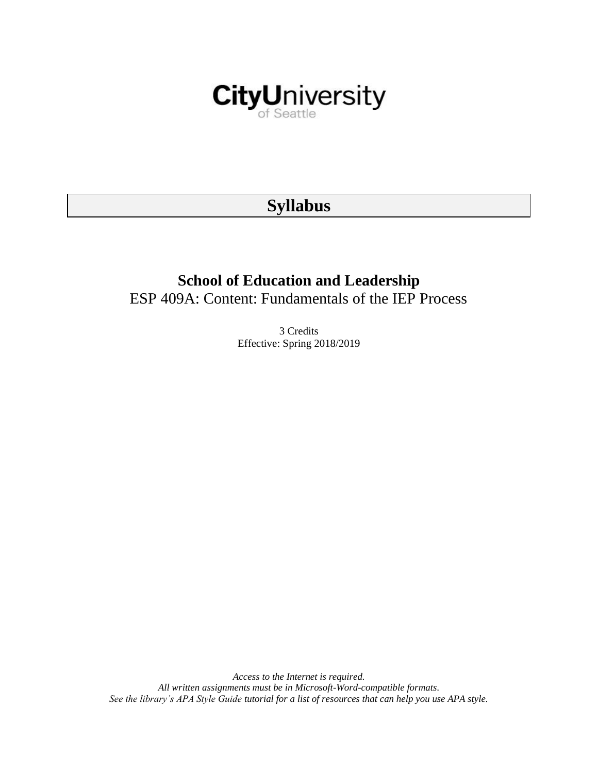

# **Syllabus**

# **School of Education and Leadership** ESP 409A: Content: Fundamentals of the IEP Process

3 Credits Effective: Spring 2018/2019

*Access to the Internet is required. All written assignments must be in Microsoft-Word-compatible formats. See the library's APA Style Guide tutorial for a list of resources that can help you use APA style.*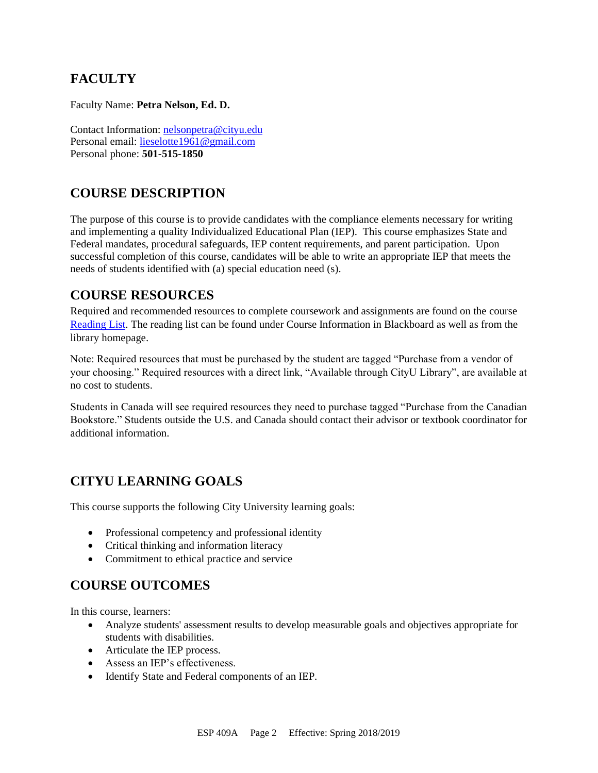## **FACULTY**

Faculty Name: **Petra Nelson, Ed. D.** 

Contact Information: [nelsonpetra@cityu.edu](mailto:nelsonpetra@cityu.edu) Personal email: [lieselotte1961@gmail.com](mailto:lieselotte1961@gmail.com) Personal phone: **501-515-1850**

# **COURSE DESCRIPTION**

The purpose of this course is to provide candidates with the compliance elements necessary for writing and implementing a quality Individualized Educational Plan (IEP). This course emphasizes State and Federal mandates, procedural safeguards, IEP content requirements, and parent participation. Upon successful completion of this course, candidates will be able to write an appropriate IEP that meets the needs of students identified with (a) special education need (s).

### **COURSE RESOURCES**

Required and recommended resources to complete coursework and assignments are found on the course [Reading List.](https://nam03.safelinks.protection.outlook.com/?url=https%3A%2F%2Fcityu.alma.exlibrisgroup.com%2Fleganto%2Flogin%3Fauth%3DSAML&data=04%7C01%7CMMara%40cityu.edu%7C70673ce0fe0144040eda08d87472e204%7Cb3fa96d9f5154662add763d854e39e63%7C1%7C0%7C637387384066198115%7CUnknown%7CTWFpbGZsb3d8eyJWIjoiMC4wLjAwMDAiLCJQIjoiV2luMzIiLCJBTiI6Ik1haWwiLCJXVCI6Mn0%3D%7C1000&sdata=JbwP%2Fm5Q%2BMgIUWa%2FXceos%2BoiLv0DX%2B%2FL%2BNGNMbX9P8E%3D&reserved=0) The reading list can be found under Course Information in Blackboard as well as from the library homepage.

Note: Required resources that must be purchased by the student are tagged "Purchase from a vendor of your choosing." Required resources with a direct link, "Available through CityU Library", are available at no cost to students.

Students in Canada will see required resources they need to purchase tagged "Purchase from the Canadian Bookstore." Students outside the U.S. and Canada should contact their advisor or textbook coordinator for additional information.

# **CITYU LEARNING GOALS**

This course supports the following City University learning goals:

- Professional competency and professional identity
- Critical thinking and information literacy
- Commitment to ethical practice and service

### **COURSE OUTCOMES**

In this course, learners:

- Analyze students' assessment results to develop measurable goals and objectives appropriate for students with disabilities.
- Articulate the IEP process.
- Assess an IEP's effectiveness.
- Identify State and Federal components of an IEP.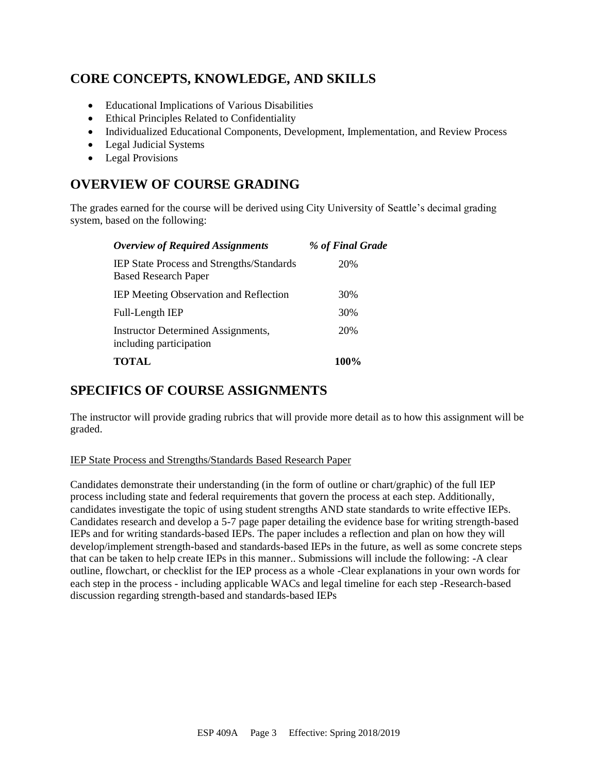# **CORE CONCEPTS, KNOWLEDGE, AND SKILLS**

- Educational Implications of Various Disabilities
- Ethical Principles Related to Confidentiality
- Individualized Educational Components, Development, Implementation, and Review Process
- Legal Judicial Systems
- Legal Provisions

### **OVERVIEW OF COURSE GRADING**

The grades earned for the course will be derived using City University of Seattle's decimal grading system, based on the following:

| <b>Overview of Required Assignments</b>                                         | % of Final Grade |
|---------------------------------------------------------------------------------|------------------|
| <b>IEP State Process and Strengths/Standards</b><br><b>Based Research Paper</b> | 20%              |
| <b>IEP Meeting Observation and Reflection</b>                                   | 30%              |
| Full-Length IEP                                                                 | 30%              |
| <b>Instructor Determined Assignments,</b><br>including participation            | 20%              |
| <b>TOTAL</b>                                                                    | <b>100%</b>      |

## **SPECIFICS OF COURSE ASSIGNMENTS**

The instructor will provide grading rubrics that will provide more detail as to how this assignment will be graded.

#### IEP State Process and Strengths/Standards Based Research Paper

Candidates demonstrate their understanding (in the form of outline or chart/graphic) of the full IEP process including state and federal requirements that govern the process at each step. Additionally, candidates investigate the topic of using student strengths AND state standards to write effective IEPs. Candidates research and develop a 5-7 page paper detailing the evidence base for writing strength-based IEPs and for writing standards-based IEPs. The paper includes a reflection and plan on how they will develop/implement strength-based and standards-based IEPs in the future, as well as some concrete steps that can be taken to help create IEPs in this manner.. Submissions will include the following: -A clear outline, flowchart, or checklist for the IEP process as a whole -Clear explanations in your own words for each step in the process - including applicable WACs and legal timeline for each step -Research-based discussion regarding strength-based and standards-based IEPs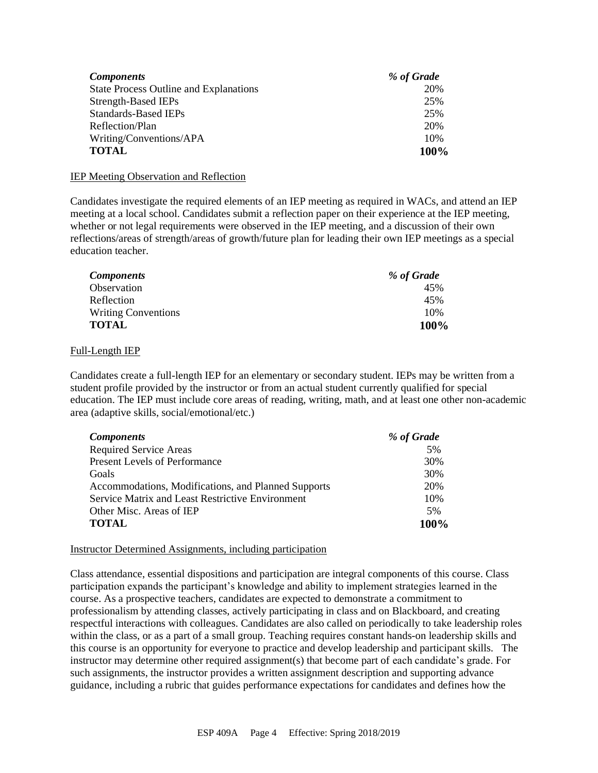| <b>Components</b>                             | % of Grade |
|-----------------------------------------------|------------|
| <b>State Process Outline and Explanations</b> | 20%        |
| Strength-Based IEPs                           | 25%        |
| <b>Standards-Based IEPs</b>                   | 25%        |
| Reflection/Plan                               | 20%        |
| Writing/Conventions/APA                       | 10%        |
| <b>TOTAL</b>                                  | 100%       |

#### IEP Meeting Observation and Reflection

Candidates investigate the required elements of an IEP meeting as required in WACs, and attend an IEP meeting at a local school. Candidates submit a reflection paper on their experience at the IEP meeting, whether or not legal requirements were observed in the IEP meeting, and a discussion of their own reflections/areas of strength/areas of growth/future plan for leading their own IEP meetings as a special education teacher.

| <b>Components</b>          | % of Grade |
|----------------------------|------------|
| Observation                | 45%        |
| Reflection                 | 45%        |
| <b>Writing Conventions</b> | 10%        |
| TOTAL                      | 100%       |

#### Full-Length IEP

Candidates create a full-length IEP for an elementary or secondary student. IEPs may be written from a student profile provided by the instructor or from an actual student currently qualified for special education. The IEP must include core areas of reading, writing, math, and at least one other non-academic area (adaptive skills, social/emotional/etc.)

| <b>Components</b>                                   | % of Grade |
|-----------------------------------------------------|------------|
| <b>Required Service Areas</b>                       | 5%         |
| <b>Present Levels of Performance</b>                | 30%        |
| Goals                                               | 30%        |
| Accommodations, Modifications, and Planned Supports | 20%        |
| Service Matrix and Least Restrictive Environment    | 10%        |
| Other Misc. Areas of IEP                            | 5%         |
| <b>TOTAL</b>                                        | 100%       |

#### Instructor Determined Assignments, including participation

Class attendance, essential dispositions and participation are integral components of this course. Class participation expands the participant's knowledge and ability to implement strategies learned in the course. As a prospective teachers, candidates are expected to demonstrate a commitment to professionalism by attending classes, actively participating in class and on Blackboard, and creating respectful interactions with colleagues. Candidates are also called on periodically to take leadership roles within the class, or as a part of a small group. Teaching requires constant hands-on leadership skills and this course is an opportunity for everyone to practice and develop leadership and participant skills. The instructor may determine other required assignment(s) that become part of each candidate's grade. For such assignments, the instructor provides a written assignment description and supporting advance guidance, including a rubric that guides performance expectations for candidates and defines how the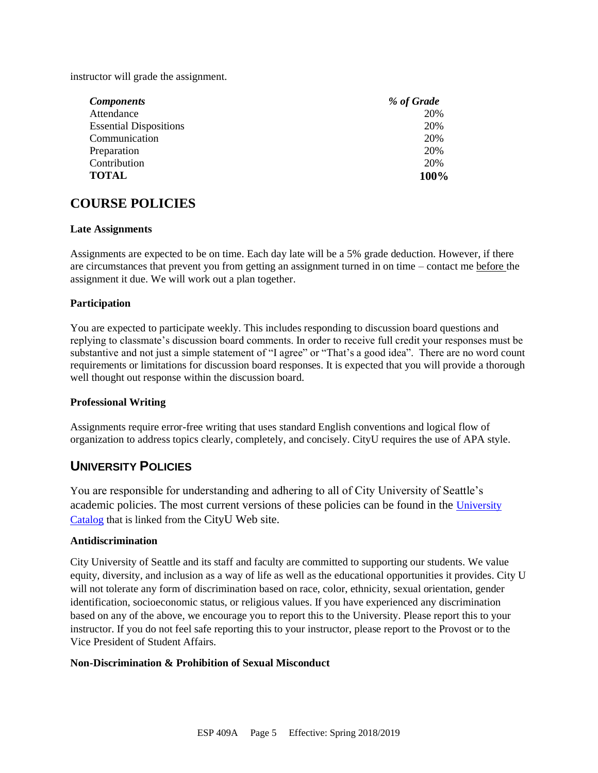instructor will grade the assignment.

| <b>Components</b>             | % of Grade |
|-------------------------------|------------|
| Attendance                    | 20%        |
| <b>Essential Dispositions</b> | 20%        |
| Communication                 | 20%        |
| Preparation                   | 20%        |
| Contribution                  | 20%        |
| <b>TOTAL</b>                  | 100%       |

### **COURSE POLICIES**

#### **Late Assignments**

Assignments are expected to be on time. Each day late will be a 5% grade deduction. However, if there are circumstances that prevent you from getting an assignment turned in on time – contact me before the assignment it due. We will work out a plan together.

#### **Participation**

You are expected to participate weekly. This includes responding to discussion board questions and replying to classmate's discussion board comments. In order to receive full credit your responses must be substantive and not just a simple statement of "I agree" or "That's a good idea". There are no word count requirements or limitations for discussion board responses. It is expected that you will provide a thorough well thought out response within the discussion board.

#### **Professional Writing**

Assignments require error-free writing that uses standard English conventions and logical flow of organization to address topics clearly, completely, and concisely. CityU requires the use of APA style.

### **UNIVERSITY POLICIES**

You are responsible for understanding and adhering to all of City University of Seattle's academic policies. The most current versions of these policies can be found in the [University](https://www.cityu.edu/catalog/)  [Catalog](https://www.cityu.edu/catalog/) that is linked from the CityU Web site.

#### **Antidiscrimination**

City University of Seattle and its staff and faculty are committed to supporting our students. We value equity, diversity, and inclusion as a way of life as well as the educational opportunities it provides. City U will not tolerate any form of discrimination based on race, color, ethnicity, sexual orientation, gender identification, socioeconomic status, or religious values. If you have experienced any discrimination based on any of the above, we encourage you to report this to the University. Please report this to your instructor. If you do not feel safe reporting this to your instructor, please report to the Provost or to the Vice President of Student Affairs.

#### **Non-Discrimination & Prohibition of Sexual Misconduct**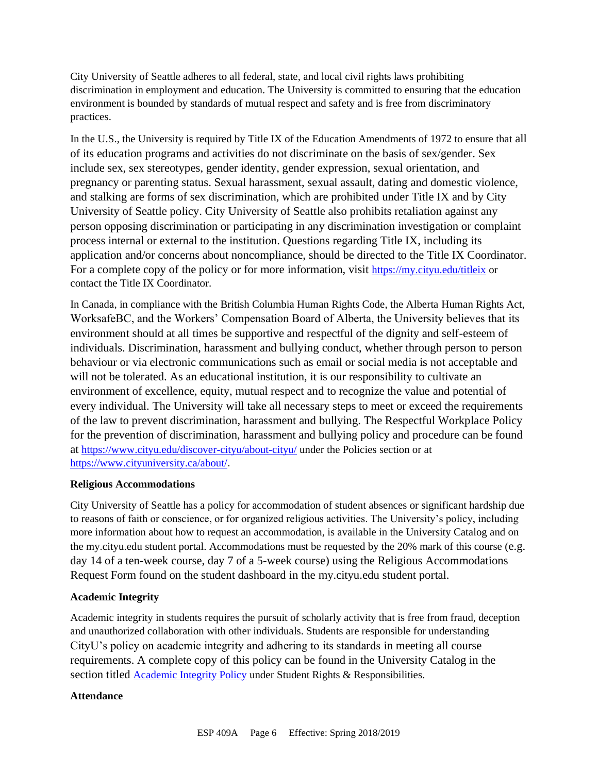City University of Seattle adheres to all federal, state, and local civil rights laws prohibiting discrimination in employment and education. The University is committed to ensuring that the education environment is bounded by standards of mutual respect and safety and is free from discriminatory practices.

In the U.S., the University is required by Title IX of the Education Amendments of 1972 to ensure that all of its education programs and activities do not discriminate on the basis of sex/gender. Sex include sex, sex stereotypes, gender identity, gender expression, sexual orientation, and pregnancy or parenting status. Sexual harassment, sexual assault, dating and domestic violence, and stalking are forms of sex discrimination, which are prohibited under Title IX and by City University of Seattle policy. City University of Seattle also prohibits retaliation against any person opposing discrimination or participating in any discrimination investigation or complaint process internal or external to the institution. Questions regarding Title IX, including its application and/or concerns about noncompliance, should be directed to the Title IX Coordinator. For a complete copy of the policy or for more information, visit <https://my.cityu.edu/titleix> or contact the Title IX Coordinator.

In Canada, in compliance with the British Columbia Human Rights Code, the Alberta Human Rights Act, WorksafeBC, and the Workers' Compensation Board of Alberta, the University believes that its environment should at all times be supportive and respectful of the dignity and self-esteem of individuals. Discrimination, harassment and bullying conduct, whether through person to person behaviour or via electronic communications such as email or social media is not acceptable and will not be tolerated. As an educational institution, it is our responsibility to cultivate an environment of excellence, equity, mutual respect and to recognize the value and potential of every individual. The University will take all necessary steps to meet or exceed the requirements of the law to prevent discrimination, harassment and bullying. The Respectful Workplace Policy for the prevention of discrimination, harassment and bullying policy and procedure can be found at <https://www.cityu.edu/discover-cityu/about-cityu/> under the Policies section or at <https://www.cityuniversity.ca/about/>.

#### **Religious Accommodations**

City University of Seattle has a policy for accommodation of student absences or significant hardship due to reasons of faith or conscience, or for organized religious activities. The University's policy, including more information about how to request an accommodation, is available in the University Catalog and on the my.cityu.edu student portal. Accommodations must be requested by the 20% mark of this course (e.g. day 14 of a ten-week course, day 7 of a 5-week course) using the Religious Accommodations Request Form found on the student dashboard in the my.cityu.edu student portal.

#### **Academic Integrity**

Academic integrity in students requires the pursuit of scholarly activity that is free from fraud, deception and unauthorized collaboration with other individuals. Students are responsible for understanding CityU's policy on academic integrity and adhering to its standards in meeting all course requirements. A complete copy of this policy can be found in the University Catalog in the section titled [Academic Integrity Policy](https://www.cityu.edu/catalog/;) under Student Rights & Responsibilities.

#### **Attendance**